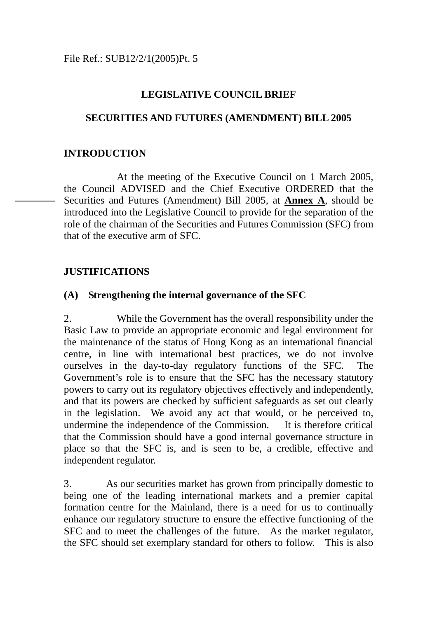### **LEGISLATIVE COUNCIL BRIEF**

### **SECURITIES AND FUTURES (AMENDMENT) BILL 2005**

### **INTRODUCTION**

 At the meeting of the Executive Council on 1 March 2005, the Council ADVISED and the Chief Executive ORDERED that the Securities and Futures (Amendment) Bill 2005, at **Annex A**, should be introduced into the Legislative Council to provide for the separation of the role of the chairman of the Securities and Futures Commission (SFC) from that of the executive arm of SFC.

### **JUSTIFICATIONS**

### **(A) Strengthening the internal governance of the SFC**

2. While the Government has the overall responsibility under the Basic Law to provide an appropriate economic and legal environment for the maintenance of the status of Hong Kong as an international financial centre, in line with international best practices, we do not involve ourselves in the day-to-day regulatory functions of the SFC. The Government's role is to ensure that the SFC has the necessary statutory powers to carry out its regulatory objectives effectively and independently, and that its powers are checked by sufficient safeguards as set out clearly in the legislation. We avoid any act that would, or be perceived to, undermine the independence of the Commission. It is therefore critical that the Commission should have a good internal governance structure in place so that the SFC is, and is seen to be, a credible, effective and independent regulator.

3. As our securities market has grown from principally domestic to being one of the leading international markets and a premier capital formation centre for the Mainland, there is a need for us to continually enhance our regulatory structure to ensure the effective functioning of the SFC and to meet the challenges of the future. As the market regulator, the SFC should set exemplary standard for others to follow. This is also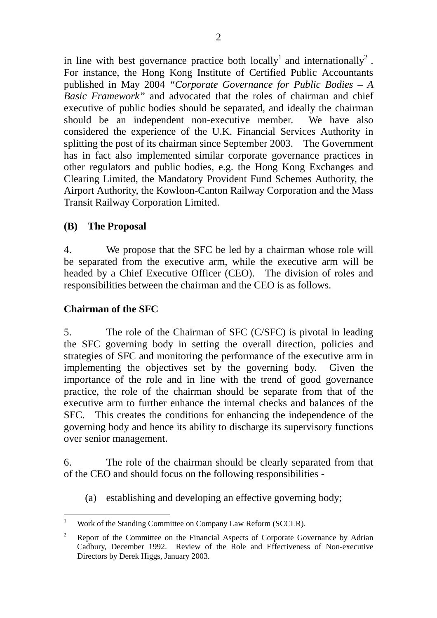in line with best governance practice both locally<sup>1</sup> and internationally<sup>2</sup>. For instance, the Hong Kong Institute of Certified Public Accountants published in May 2004 *"Corporate Governance for Public Bodies – A Basic Framework"* and advocated that the roles of chairman and chief executive of public bodies should be separated, and ideally the chairman should be an independent non-executive member. We have also considered the experience of the U.K. Financial Services Authority in splitting the post of its chairman since September 2003. The Government has in fact also implemented similar corporate governance practices in other regulators and public bodies, e.g. the Hong Kong Exchanges and Clearing Limited, the Mandatory Provident Fund Schemes Authority, the Airport Authority, the Kowloon-Canton Railway Corporation and the Mass Transit Railway Corporation Limited.

### **(B) The Proposal**

4. We propose that the SFC be led by a chairman whose role will be separated from the executive arm, while the executive arm will be headed by a Chief Executive Officer (CEO). The division of roles and responsibilities between the chairman and the CEO is as follows.

# **Chairman of the SFC**

5. The role of the Chairman of SFC (C/SFC) is pivotal in leading the SFC governing body in setting the overall direction, policies and strategies of SFC and monitoring the performance of the executive arm in implementing the objectives set by the governing body. Given the importance of the role and in line with the trend of good governance practice, the role of the chairman should be separate from that of the executive arm to further enhance the internal checks and balances of the SFC. This creates the conditions for enhancing the independence of the governing body and hence its ability to discharge its supervisory functions over senior management.

6. The role of the chairman should be clearly separated from that of the CEO and should focus on the following responsibilities -

(a) establishing and developing an effective governing body;

 $\overline{a}$ 1 Work of the Standing Committee on Company Law Reform (SCCLR).

<sup>&</sup>lt;sup>2</sup> Report of the Committee on the Financial Aspects of Corporate Governance by Adrian Cadbury, December 1992. Review of the Role and Effectiveness of Non-executive Directors by Derek Higgs, January 2003.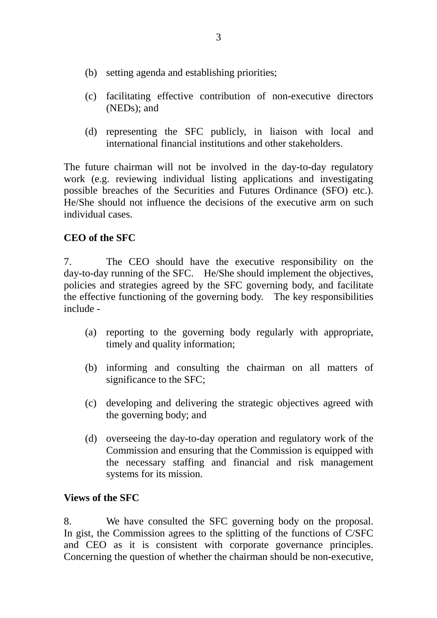- (b) setting agenda and establishing priorities;
- (c) facilitating effective contribution of non-executive directors (NEDs); and
- (d) representing the SFC publicly, in liaison with local and international financial institutions and other stakeholders.

The future chairman will not be involved in the day-to-day regulatory work (e.g. reviewing individual listing applications and investigating possible breaches of the Securities and Futures Ordinance (SFO) etc.). He/She should not influence the decisions of the executive arm on such individual cases.

### **CEO of the SFC**

7. The CEO should have the executive responsibility on the day-to-day running of the SFC. He/She should implement the objectives, policies and strategies agreed by the SFC governing body, and facilitate the effective functioning of the governing body. The key responsibilities include -

- (a) reporting to the governing body regularly with appropriate, timely and quality information;
- (b) informing and consulting the chairman on all matters of significance to the SFC;
- (c) developing and delivering the strategic objectives agreed with the governing body; and
- (d) overseeing the day-to-day operation and regulatory work of the Commission and ensuring that the Commission is equipped with the necessary staffing and financial and risk management systems for its mission.

### **Views of the SFC**

8. We have consulted the SFC governing body on the proposal. In gist, the Commission agrees to the splitting of the functions of C/SFC and CEO as it is consistent with corporate governance principles. Concerning the question of whether the chairman should be non-executive,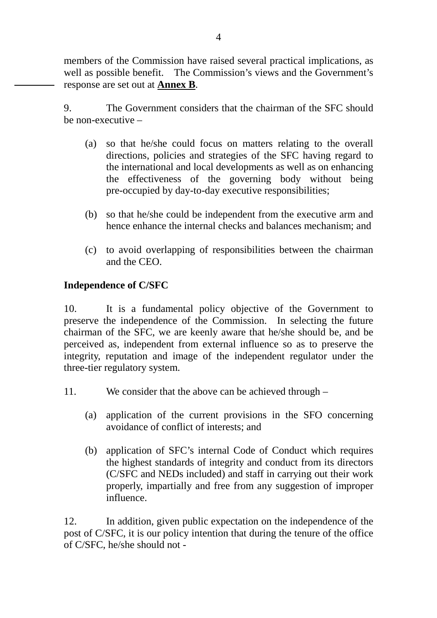members of the Commission have raised several practical implications, as well as possible benefit. The Commission's views and the Government's response are set out at **Annex B**.

9. The Government considers that the chairman of the SFC should be non-executive –

- (a) so that he/she could focus on matters relating to the overall directions, policies and strategies of the SFC having regard to the international and local developments as well as on enhancing the effectiveness of the governing body without being pre-occupied by day-to-day executive responsibilities;
- (b) so that he/she could be independent from the executive arm and hence enhance the internal checks and balances mechanism; and
- (c) to avoid overlapping of responsibilities between the chairman and the CEO.

### **Independence of C/SFC**

10. It is a fundamental policy objective of the Government to preserve the independence of the Commission. In selecting the future chairman of the SFC, we are keenly aware that he/she should be, and be perceived as, independent from external influence so as to preserve the integrity, reputation and image of the independent regulator under the three-tier regulatory system.

- 11. We consider that the above can be achieved through
	- (a) application of the current provisions in the SFO concerning avoidance of conflict of interests; and
	- (b) application of SFC's internal Code of Conduct which requires the highest standards of integrity and conduct from its directors (C/SFC and NEDs included) and staff in carrying out their work properly, impartially and free from any suggestion of improper influence.

12. In addition, given public expectation on the independence of the post of C/SFC, it is our policy intention that during the tenure of the office of C/SFC, he/she should not -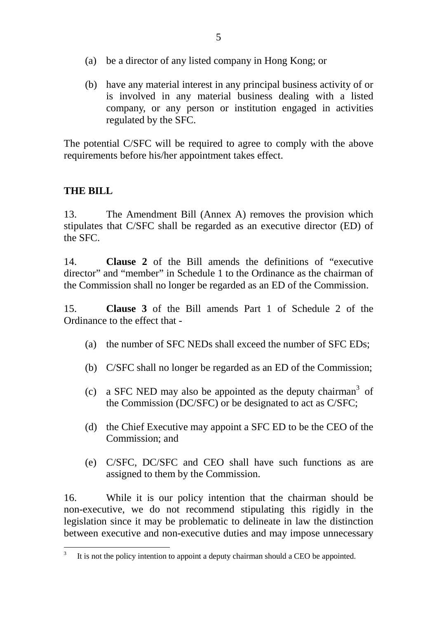- (a) be a director of any listed company in Hong Kong; or
- (b) have any material interest in any principal business activity of or is involved in any material business dealing with a listed company, or any person or institution engaged in activities regulated by the SFC.

The potential C/SFC will be required to agree to comply with the above requirements before his/her appointment takes effect.

### **THE BILL**

13. The Amendment Bill (Annex A) removes the provision which stipulates that C/SFC shall be regarded as an executive director (ED) of the SFC.

14. **Clause 2** of the Bill amends the definitions of "executive director" and "member" in Schedule 1 to the Ordinance as the chairman of the Commission shall no longer be regarded as an ED of the Commission.

15. **Clause 3** of the Bill amends Part 1 of Schedule 2 of the Ordinance to the effect that -

- (a) the number of SFC NEDs shall exceed the number of SFC EDs;
- (b) C/SFC shall no longer be regarded as an ED of the Commission;
- (c) a SFC NED may also be appointed as the deputy chairman<sup>3</sup> of the Commission (DC/SFC) or be designated to act as C/SFC;
- (d) the Chief Executive may appoint a SFC ED to be the CEO of the Commission; and
- (e) C/SFC, DC/SFC and CEO shall have such functions as are assigned to them by the Commission.

16. While it is our policy intention that the chairman should be non-executive, we do not recommend stipulating this rigidly in the legislation since it may be problematic to delineate in law the distinction between executive and non-executive duties and may impose unnecessary

 $\overline{a}$ 3 It is not the policy intention to appoint a deputy chairman should a CEO be appointed.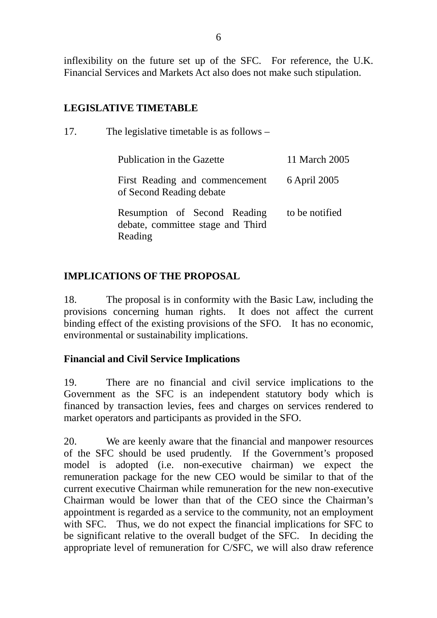inflexibility on the future set up of the SFC. For reference, the U.K. Financial Services and Markets Act also does not make such stipulation.

### **LEGISLATIVE TIMETABLE**

| 17. | The legislative timetable is as follows $-$                                  |                |
|-----|------------------------------------------------------------------------------|----------------|
|     | Publication in the Gazette                                                   | 11 March 2005  |
|     | First Reading and commencement<br>of Second Reading debate                   | 6 April 2005   |
|     | Resumption of Second Reading<br>debate, committee stage and Third<br>Reading | to be notified |

# **IMPLICATIONS OF THE PROPOSAL**

18. The proposal is in conformity with the Basic Law, including the provisions concerning human rights. It does not affect the current binding effect of the existing provisions of the SFO. It has no economic, environmental or sustainability implications.

# **Financial and Civil Service Implications**

19. There are no financial and civil service implications to the Government as the SFC is an independent statutory body which is financed by transaction levies, fees and charges on services rendered to market operators and participants as provided in the SFO.

20. We are keenly aware that the financial and manpower resources of the SFC should be used prudently. If the Government's proposed model is adopted (i.e. non-executive chairman) we expect the remuneration package for the new CEO would be similar to that of the current executive Chairman while remuneration for the new non-executive Chairman would be lower than that of the CEO since the Chairman's appointment is regarded as a service to the community, not an employment with SFC. Thus, we do not expect the financial implications for SFC to be significant relative to the overall budget of the SFC. In deciding the appropriate level of remuneration for C/SFC, we will also draw reference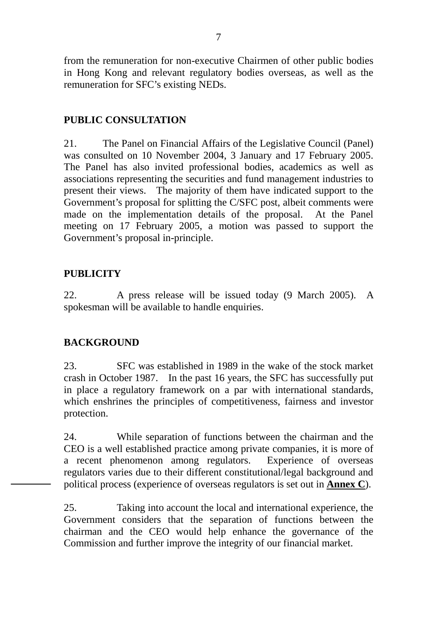from the remuneration for non-executive Chairmen of other public bodies in Hong Kong and relevant regulatory bodies overseas, as well as the remuneration for SFC's existing NEDs.

# **PUBLIC CONSULTATION**

21. The Panel on Financial Affairs of the Legislative Council (Panel) was consulted on 10 November 2004, 3 January and 17 February 2005. The Panel has also invited professional bodies, academics as well as associations representing the securities and fund management industries to present their views. The majority of them have indicated support to the Government's proposal for splitting the C/SFC post, albeit comments were made on the implementation details of the proposal. At the Panel meeting on 17 February 2005, a motion was passed to support the Government's proposal in-principle.

### **PUBLICITY**

22. A press release will be issued today (9 March 2005). A spokesman will be available to handle enquiries.

### **BACKGROUND**

23. SFC was established in 1989 in the wake of the stock market crash in October 1987. In the past 16 years, the SFC has successfully put in place a regulatory framework on a par with international standards, which enshrines the principles of competitiveness, fairness and investor protection.

24. While separation of functions between the chairman and the CEO is a well established practice among private companies, it is more of a recent phenomenon among regulators. Experience of overseas regulators varies due to their different constitutional/legal background and political process (experience of overseas regulators is set out in **Annex C**).

25. Taking into account the local and international experience, the Government considers that the separation of functions between the chairman and the CEO would help enhance the governance of the Commission and further improve the integrity of our financial market.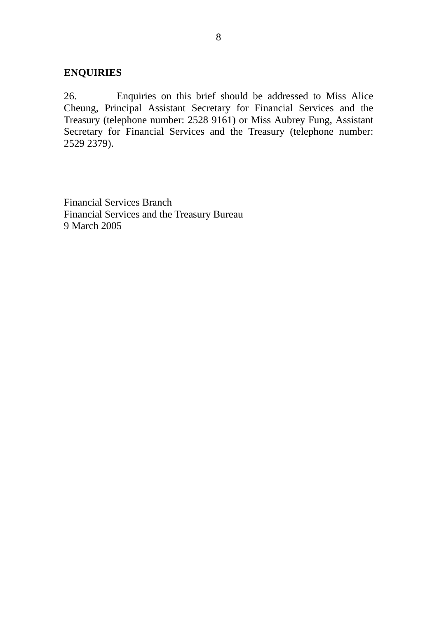### **ENQUIRIES**

26. Enquiries on this brief should be addressed to Miss Alice Cheung, Principal Assistant Secretary for Financial Services and the Treasury (telephone number: 2528 9161) or Miss Aubrey Fung, Assistant Secretary for Financial Services and the Treasury (telephone number: 2529 2379).

Financial Services Branch Financial Services and the Treasury Bureau 9 March 2005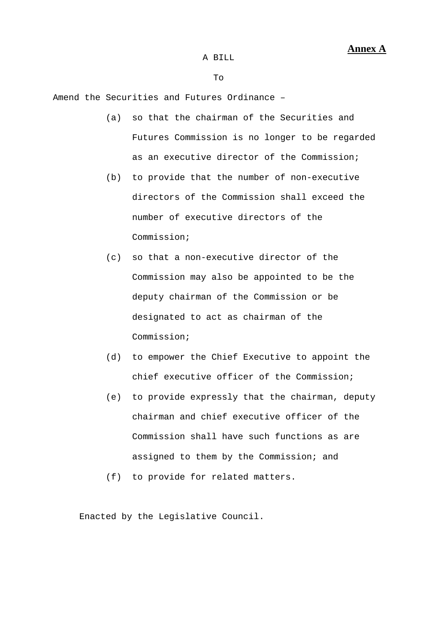To

Amend the Securities and Futures Ordinance –

- (a) so that the chairman of the Securities and Futures Commission is no longer to be regarded as an executive director of the Commission;
- (b) to provide that the number of non-executive directors of the Commission shall exceed the number of executive directors of the Commission;
- (c) so that a non-executive director of the Commission may also be appointed to be the deputy chairman of the Commission or be designated to act as chairman of the Commission;
- (d) to empower the Chief Executive to appoint the chief executive officer of the Commission;
- (e) to provide expressly that the chairman, deputy chairman and chief executive officer of the Commission shall have such functions as are assigned to them by the Commission; and
- (f) to provide for related matters.

Enacted by the Legislative Council.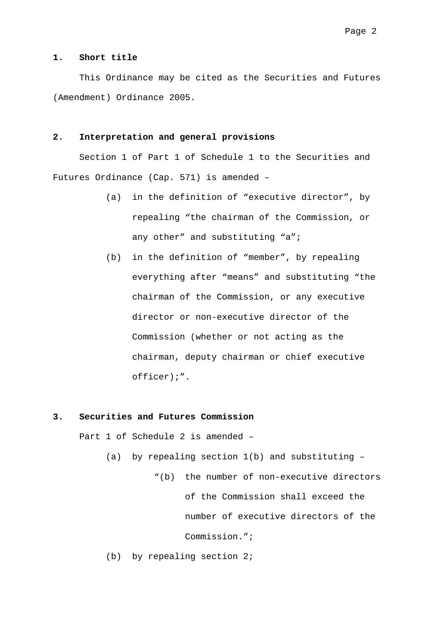#### **1. Short title**

 This Ordinance may be cited as the Securities and Futures (Amendment) Ordinance 2005.

### **2. Interpretation and general provisions**

 Section 1 of Part 1 of Schedule 1 to the Securities and Futures Ordinance (Cap. 571) is amended –

- (a) in the definition of "executive director", by repealing "the chairman of the Commission, or any other" and substituting "a";
- (b) in the definition of "member", by repealing everything after "means" and substituting "the chairman of the Commission, or any executive director or non-executive director of the Commission (whether or not acting as the chairman, deputy chairman or chief executive officer);".

#### **3. Securities and Futures Commission**

Part 1 of Schedule 2 is amended –

(a) by repealing section 1(b) and substituting –

 "(b) the number of non-executive directors of the Commission shall exceed the number of executive directors of the Commission.";

(b) by repealing section 2;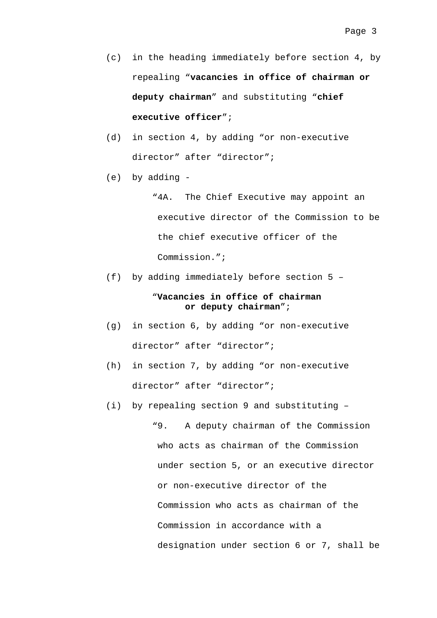- (c) in the heading immediately before section 4, by repealing "**vacancies in office of chairman or deputy chairman**" and substituting "**chief executive officer**";
- (d) in section 4, by adding "or non-executive director" after "director";
- (e) by adding -

"4A. The Chief Executive may appoint an executive director of the Commission to be the chief executive officer of the Commission.";

(f) by adding immediately before section 5 –

### "**Vacancies in office of chairman or deputy chairman**";

- (g) in section 6, by adding "or non-executive director" after "director";
- (h) in section 7, by adding "or non-executive director" after "director";
- (i) by repealing section 9 and substituting –

"9. A deputy chairman of the Commission who acts as chairman of the Commission under section 5, or an executive director or non-executive director of the Commission who acts as chairman of the Commission in accordance with a designation under section 6 or 7, shall be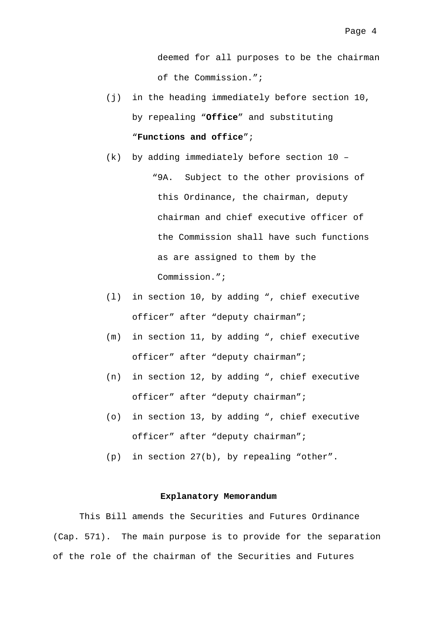deemed for all purposes to be the chairman of the Commission.";

- (j) in the heading immediately before section 10, by repealing "**Office**" and substituting "**Functions and office**";
- (k) by adding immediately before section 10 "9A. Subject to the other provisions of this Ordinance, the chairman, deputy chairman and chief executive officer of the Commission shall have such functions as are assigned to them by the Commission.";
- (l) in section 10, by adding ", chief executive officer" after "deputy chairman";
- (m) in section 11, by adding ", chief executive officer" after "deputy chairman";
- (n) in section 12, by adding ", chief executive officer" after "deputy chairman";
- (o) in section 13, by adding ", chief executive officer" after "deputy chairman";
- (p) in section 27(b), by repealing "other".

#### **Explanatory Memorandum**

 This Bill amends the Securities and Futures Ordinance (Cap. 571). The main purpose is to provide for the separation of the role of the chairman of the Securities and Futures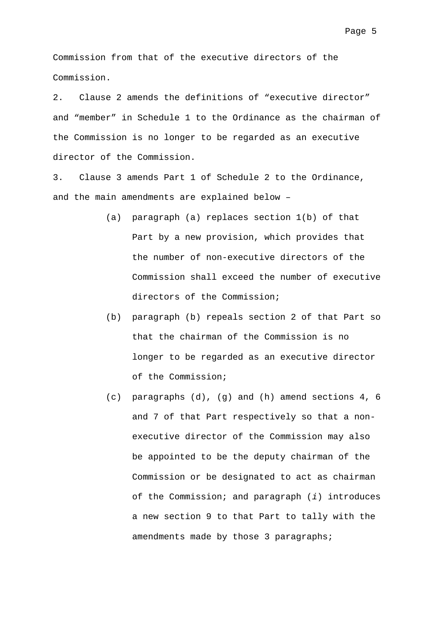Commission from that of the executive directors of the Commission.

2. Clause 2 amends the definitions of "executive director" and "member" in Schedule 1 to the Ordinance as the chairman of the Commission is no longer to be regarded as an executive director of the Commission.

3. Clause 3 amends Part 1 of Schedule 2 to the Ordinance, and the main amendments are explained below –

- (a) paragraph (a) replaces section 1(b) of that Part by a new provision, which provides that the number of non-executive directors of the Commission shall exceed the number of executive directors of the Commission;
- (b) paragraph (b) repeals section 2 of that Part so that the chairman of the Commission is no longer to be regarded as an executive director of the Commission;
- (c) paragraphs (d), (g) and (h) amend sections 4, 6 and 7 of that Part respectively so that a nonexecutive director of the Commission may also be appointed to be the deputy chairman of the Commission or be designated to act as chairman of the Commission; and paragraph (*i*) introduces a new section 9 to that Part to tally with the amendments made by those 3 paragraphs;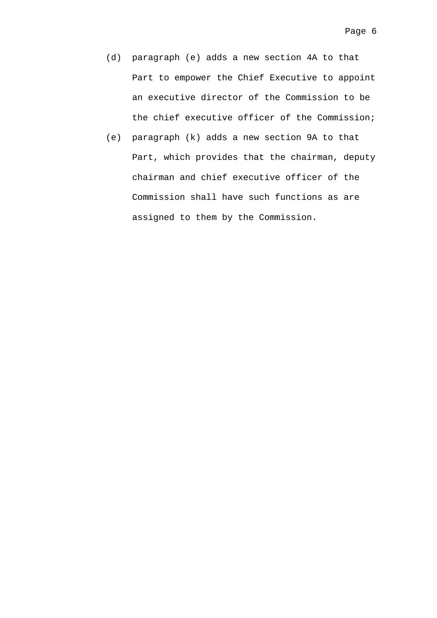- (d) paragraph (e) adds a new section 4A to that Part to empower the Chief Executive to appoint an executive director of the Commission to be the chief executive officer of the Commission;
- (e) paragraph (k) adds a new section 9A to that Part, which provides that the chairman, deputy chairman and chief executive officer of the Commission shall have such functions as are assigned to them by the Commission.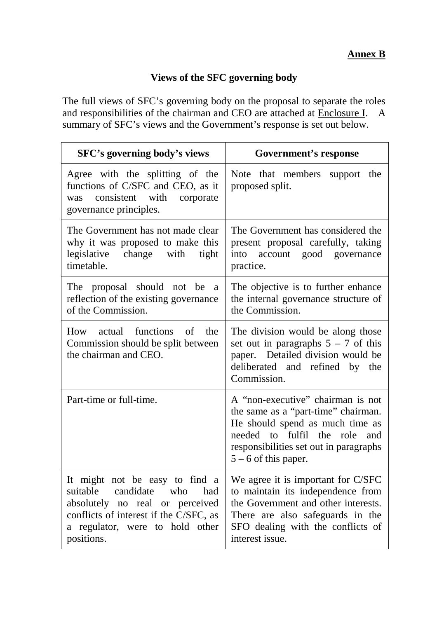### **Views of the SFC governing body**

The full views of SFC's governing body on the proposal to separate the roles and responsibilities of the chairman and CEO are attached at Enclosure I. A summary of SFC's views and the Government's response is set out below.

| SFC's governing body's views                                                                                                                                                                        | <b>Government's response</b>                                                                                                                                                                                        |  |
|-----------------------------------------------------------------------------------------------------------------------------------------------------------------------------------------------------|---------------------------------------------------------------------------------------------------------------------------------------------------------------------------------------------------------------------|--|
| Agree with the splitting of the<br>functions of C/SFC and CEO, as it<br>consistent with corporate<br>was<br>governance principles.                                                                  | Note that members support the<br>proposed split.                                                                                                                                                                    |  |
| The Government has not made clear<br>why it was proposed to make this<br>legislative change with<br>tight<br>timetable.                                                                             | The Government has considered the<br>present proposal carefully, taking<br>into account good governance<br>practice.                                                                                                |  |
| The proposal should not be<br><sub>a</sub><br>reflection of the existing governance<br>of the Commission.                                                                                           | The objective is to further enhance<br>the internal governance structure of<br>the Commission.                                                                                                                      |  |
| How actual functions of the<br>Commission should be split between<br>the chairman and CEO.                                                                                                          | The division would be along those<br>set out in paragraphs $5 - 7$ of this<br>paper. Detailed division would be<br>deliberated and refined by the<br>Commission.                                                    |  |
| Part-time or full-time.                                                                                                                                                                             | A "non-executive" chairman is not<br>the same as a "part-time" chairman.<br>He should spend as much time as<br>needed to fulfil the role<br>and<br>responsibilities set out in paragraphs<br>$5 - 6$ of this paper. |  |
| It might not be easy to find a<br>suitable<br>candidate<br>who<br>had<br>absolutely no real or perceived<br>conflicts of interest if the C/SFC, as<br>a regulator, were to hold other<br>positions. | We agree it is important for C/SFC<br>to maintain its independence from<br>the Government and other interests.<br>There are also safeguards in the<br>SFO dealing with the conflicts of<br>interest issue.          |  |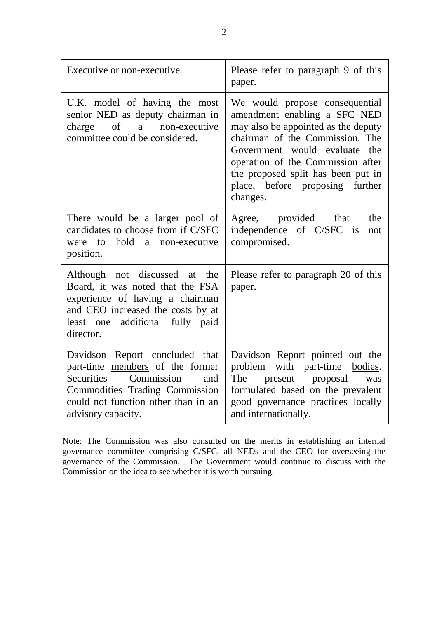| Executive or non-executive.                                                                                                                                                                                       | Please refer to paragraph 9 of this<br>paper.                                                                                                                                                                                                                                                       |
|-------------------------------------------------------------------------------------------------------------------------------------------------------------------------------------------------------------------|-----------------------------------------------------------------------------------------------------------------------------------------------------------------------------------------------------------------------------------------------------------------------------------------------------|
| U.K. model of having the most<br>senior NED as deputy chairman in<br>charge of a non-executive<br>committee could be considered.                                                                                  | We would propose consequential<br>amendment enabling a SFC NED<br>may also be appointed as the deputy<br>chairman of the Commission. The<br>Government would evaluate the<br>operation of the Commission after<br>the proposed split has been put in<br>place, before proposing further<br>changes. |
| There would be a larger pool of<br>candidates to choose from if C/SFC<br>hold a non-executive<br>were to<br>position.                                                                                             | Agree, provided that<br>the<br>independence of C/SFC is<br>not<br>compromised.                                                                                                                                                                                                                      |
| Although not discussed at<br>the<br>Board, it was noted that the FSA<br>experience of having a chairman<br>and CEO increased the costs by at<br>least one additional fully paid<br>director.                      | Please refer to paragraph 20 of this<br>paper.                                                                                                                                                                                                                                                      |
| Davidson Report concluded that<br>part-time members of the former<br><b>Securities</b><br>Commission<br>and<br><b>Commodities Trading Commission</b><br>could not function other than in an<br>advisory capacity. | Davidson Report pointed out the<br>problem with part-time bodies.<br>present proposal<br>The<br>was<br>formulated based on the prevalent<br>good governance practices locally<br>and internationally.                                                                                               |

Note: The Commission was also consulted on the merits in establishing an internal governance committee comprising C/SFC, all NEDs and the CEO for overseeing the governance of the Commission. The Government would continue to discuss with the Commission on the idea to see whether it is worth pursuing.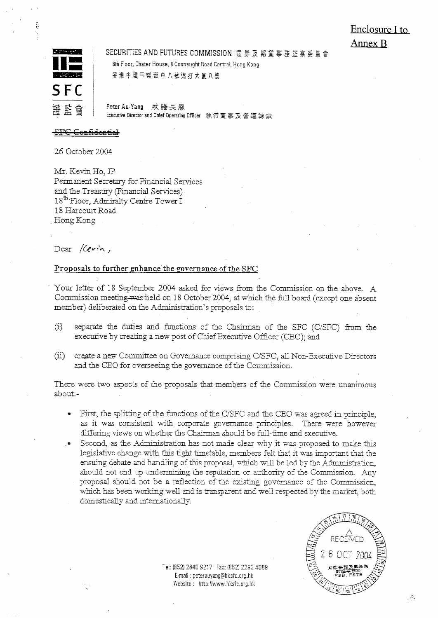# Enclosure I to Annex B



SECURITIES AND FUTURES COMMISSION 證券及期貨事務監察委員會 8th Floor, Chater House, 8 Connaught Road Central, Hong Kong

香港中環干諾道中八號遮打大廈八樓

Peter Au-Yang 歐陽長恩 Executive Director and Chief Operating Officer 執行董事及營運總裁

26 October 2004

Mr. Kevin Ho, JP Permanent Secretary for Financial Services and the Treasury (Financial Services) 18<sup>th</sup> Floor, Admiralty Centre Tower I 18 Harcourt Road Hong Kong

Dear Kevin,

### Proposals to further enhance the governance of the SFC

Your letter of 18 September 2004 asked for views from the Commission on the above. A Commission meeting was held on 18 October 2004, at which the full board (except one absent member) deliberated on the Administration's proposals to:

- separate the duties and functions of the Chairman of the SFC (C/SFC) from the  $\left( i\right)$ executive by creating a new post of Chief Executive Officer (CEO); and
- $(ii)$ create a new Committee on Governance comprising C/SFC, all Non-Executive Directors and the CEO for overseeing the governance of the Commission.

There were two aspects of the proposals that members of the Commission were unanimous about:-

- First, the splitting of the functions of the C/SFC and the CEO was agreed in principle. as it was consistent with corporate governance principles. There were however differing views on whether the Chairman should be full-time and executive.
- Second, as the Administration has not made clear why it was proposed to make this legislative change with this tight timetable, members felt that it was important that the ensuing debate and handling of this proposal, which will be led by the Administration, should not end up undermining the reputation or authority of the Commission. Any proposal should not be a reflection of the existing governance of the Commission. which has been working well and is transparent and well respected by the market, both domestically and internationally.

Tel: (852) 2840 9217 Fax: (852) 2293 4089 E-mail: peterauyang@hksfc.org.hk Website: http://www.hksfc.org.hk



برتونه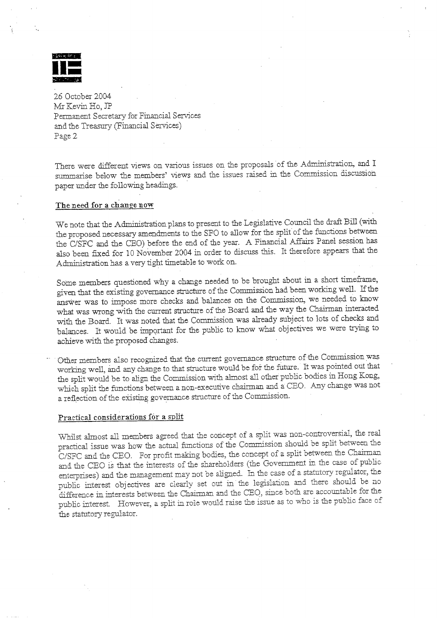

There were different views on various issues on the proposals of the Administration, and I summarise below the members' views and the issues raised in the Commission discussion paper under the following headings.

### The need for a change now

We note that the Administration plans to present to the Legislative Council the draft Bill (with the proposed necessary amendments to the SFO to allow for the split of the functions between the C/SFC and the CEO) before the end of the year. A Financial Affairs Panel session has also been fixed for 10 November 2004 in order to discuss this. It therefore appears that the Administration has a very tight timetable to work on.

Some members questioned why a change needed to be brought about in a short timeframe, given that the existing governance structure of the Commission had been working well. If the answer was to impose more checks and balances on the Commission, we needed to know what was wrong with the current structure of the Board and the way the Chairman interacted with the Board. It was noted that the Commission was already subject to lots of checks and balances. It would be important for the public to know what objectives we were trying to achieve with the proposed changes.

Other members also recognized that the current governance structure of the Commission was working well, and any change to that structure would be for the future. It was pointed out that the split would be to align the Commission with almost all other public bodies in Hong Kong, which split the functions between a non-executive chairman and a CEO. Any change was not a reflection of the existing governance structure of the Commission.

### Practical considerations for a split

Whilst almost all members agreed that the concept of a split was non-controversial, the real practical issue was how the actual functions of the Commission should be split between the C/SFC and the CEO. For profit making bodies, the concept of a split between the Chairman and the CEO is that the interests of the shareholders (the Government in the case of public enterprises) and the management may not be aligned. In the case of a statutory regulator, the public interest objectives are clearly set out in the legislation and there should be no difference in interests between the Chairman and the CEO<sub>2</sub> since both are accountable for the public interest. However, a split in role would raise the issue as to who is the public face of the statutory regulator.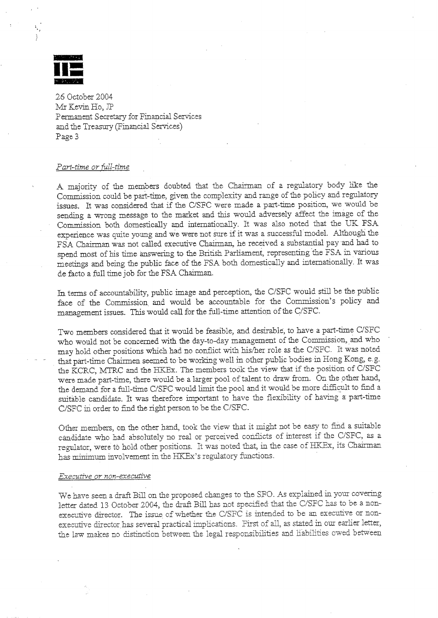

#### Part-time or full-time

A majority of the members doubted that the Chairman of a regulatory body like the Commission could be part-time, given the complexity and range of the policy and regulatory issues. It was considered that if the C/SFC were made a part-time position, we would be sending a wrong message to the market and this would adversely affect the image of the Commission both domestically and internationally. It was also noted that the UK FSA experience was quite young and we were not sure if it was a successful model. Although the FSA Chairman was not called executive Chairman, he received a substantial pay and had to spend most of his time answering to the British Parliament, representing the FSA in various meetings and being the public face of the FSA both domestically and internationally. It was de facto a full time job for the FSA Chairman.

In terms of accountability, public image and perception, the C/SFC would still be the public face of the Commission and would be accountable for the Commission's policy and management issues. This would call for the full-time attention of the C/SFC.

Two members considered that it would be feasible, and desirable, to have a part-time C/SFC who would not be concerned with the day-to-day management of the Commission, and who may hold other positions which had no conflict with his/her role as the C/SFC. It was noted that part-time Chairmen seemed to be working well in other public bodies in Hong Kong, e.g. the KCRC, MTRC and the HKEx. The members took the view that if the position of C/SFC were made part-time, there would be a larger pool of talent to draw from. On the other hand, the demand for a full-time C/SFC would limit the pool and it would be more difficult to find a suitable candidate. It was therefore important to have the flexibility of having a part-time C/SFC in order to find the right person to be the C/SFC.

Other members, on the other hand, took the view that it might not be easy to find a suitable candidate who had absolutely no real or perceived conflicts of interest if the C/SFC, as a regulator, were to hold other positions. It was noted that, in the case of HKEx, its Chairman has minimum involvement in the HKEx's regulatory functions.

#### Executive or non-executive

We have seen a draft Bill on the proposed changes to the SFO. As explained in your covering letter dated 13 October 2004, the draft Bill has not specified that the C/SFC has to be a nonexecutive director. The issue of whether the C/SFC is intended to be an executive or nonexecutive director has several practical implications. First of all, as stated in our earlier letter, the law makes no distinction between the legal responsibilities and liabilities owed between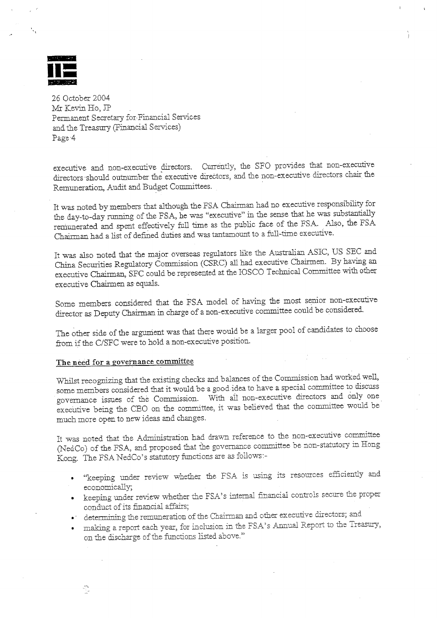

executive and non-executive directors. Currently, the SFO provides that non-executive directors should outnumber the executive directors, and the non-executive directors chair the Remuneration, Audit and Budget Committees.

It was noted by members that although the FSA Chairman had no executive responsibility for the day-to-day running of the FSA, he was "executive" in the sense that he was substantially remunerated and spent effectively full time as the public face of the FSA. Also, the FSA Chairman had a list of defined duties and was tantamount to a full-time executive.

It was also noted that the major overseas regulators like the Australian ASIC, US SEC and China Securities Regulatory Commission (CSRC) all had executive Chairmen. By having an executive Chairman, SFC could be represented at the IOSCO Technical Committee with other executive Chairmen as equals.

Some members considered that the FSA model of having the most senior non-executive director as Deputy Chairman in charge of a non-executive committee could be considered.

The other side of the argument was that there would be a larger pool of candidates to choose from if the C/SFC were to hold a non-executive position.

#### The need for a governance committee

Whilst recognizing that the existing checks and balances of the Commission had worked well, some members considered that it would be a good idea to have a special committee to discuss governance issues of the Commission. With all non-executive directors and only one executive being the CEO on the committee, it was believed that the committee would be much more open to new ideas and changes.

It was noted that the Administration had drawn reference to the non-executive committee (NedCo) of the FSA, and proposed that the governance committee be non-statutory in Hong Kong. The FSA NedCo's statutory functions are as follows:-

- "keeping under review whether the FSA is using its resources efficiently and economically;
- keeping under review whether the FSA's internal financial controls secure the proper conduct of its financial affairs;
- determining the remuneration of the Chairman and other executive directors; and
- . making a report each year, for inclusion in the FSA's Annual Report to the Treasury, on the discharge of the functions listed above."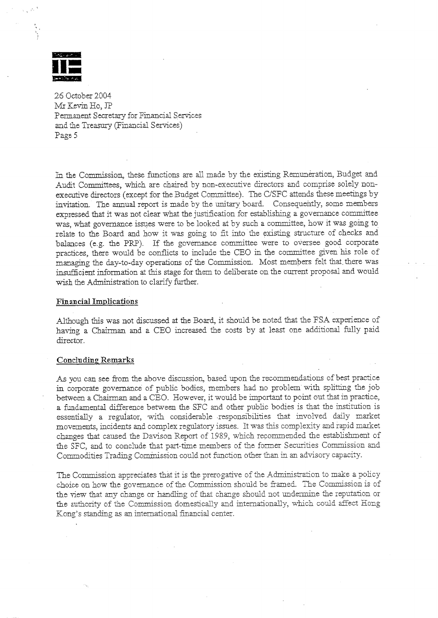

In the Commission, these functions are all made by the existing Remuneration, Budget and Audit Committees, which are chaired by non-executive directors and comprise solely nonexecutive directors (except for the Budget Committee). The C/SFC attends these meetings by invitation. The annual report is made by the unitary board. Consequently, some members expressed that it was not clear what the justification for establishing a governance committee was, what governance issues were to be looked at by such a committee, how it was going to relate to the Board and how it was going to fit into the existing structure of checks and balances (e.g. the PRP). If the governance committee were to oversee good corporate practices, there would be conflicts to include the CEO in the committee given his role of managing the day-to-day operations of the Commission. Most members felt that there was insufficient information at this stage for them to deliberate on the current proposal and would wish the Administration to clarify further.

#### **Financial Implications**

Although this was not discussed at the Board, it should be noted that the FSA experience of having a Chairman and a CEO increased the costs by at least one additional fully paid director.

#### **Concluding Remarks**

As you can see from the above discussion, based upon the recommendations of best practice in corporate governance of public bodies, members had no problem with splitting the job between a Chairman and a CEO. However, it would be important to point out that in practice, a fundamental difference between the SFC and other public bodies is that the institution is essentially a regulator, with considerable responsibilities that involved daily market movements, incidents and complex regulatory issues. It was this complexity and rapid market changes that caused the Davison Report of 1989, which recommended the establishment of the SFC, and to conclude that part-time members of the former Securities Commission and Commodities Trading Commission could not function other than in an advisory capacity.

The Commission appreciates that it is the prerogative of the Administration to make a policy choice on how the governance of the Commission should be framed. The Commission is of the view that any change or handling of that change should not undermine the reputation or the authority of the Commission domestically and internationally, which could affect Hong Kong's standing as an international financial center.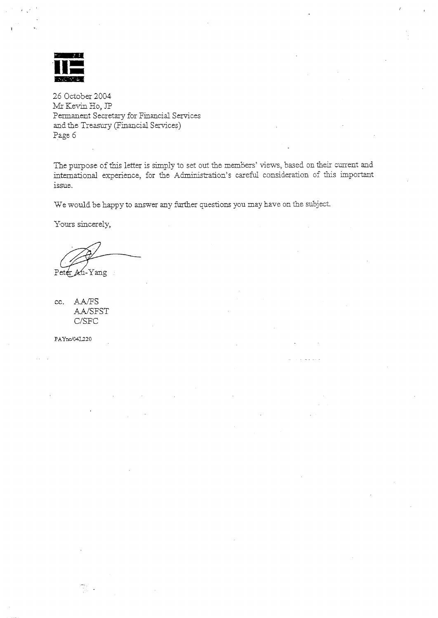

The purpose of this letter is simply to set out the members' views, based on their current and international experience, for the Administration's careful consideration of this important issue.

We would be happy to answer any further questions you may have on the subject.

Yours sincerely,

Peter Au-Yang

cc. AA/FS AA/SFST C/SFC

PAYnc/041.220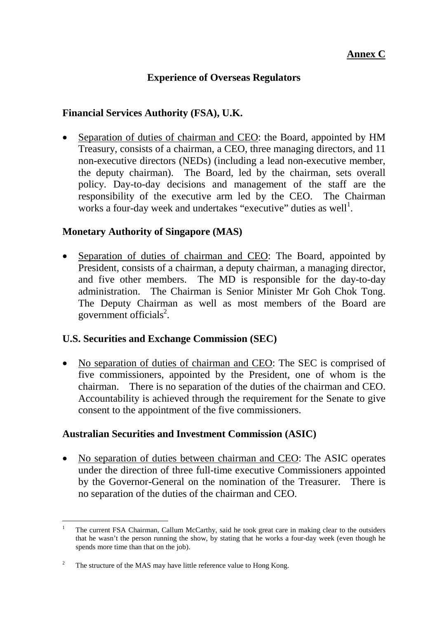### **Annex C**

### **Experience of Overseas Regulators**

### **Financial Services Authority (FSA), U.K.**

• Separation of duties of chairman and CEO: the Board, appointed by HM Treasury, consists of a chairman, a CEO, three managing directors, and 11 non-executive directors (NEDs) (including a lead non-executive member, the deputy chairman). The Board, led by the chairman, sets overall policy. Day-to-day decisions and management of the staff are the responsibility of the executive arm led by the CEO. The Chairman works a four-day week and undertakes "executive" duties as well<sup>1</sup>.

### **Monetary Authority of Singapore (MAS)**

• Separation of duties of chairman and CEO: The Board, appointed by President, consists of a chairman, a deputy chairman, a managing director, and five other members. The MD is responsible for the day-to-day administration. The Chairman is Senior Minister Mr Goh Chok Tong. The Deputy Chairman as well as most members of the Board are government officials<sup>2</sup>.

### **U.S. Securities and Exchange Commission (SEC)**

• No separation of duties of chairman and CEO: The SEC is comprised of five commissioners, appointed by the President, one of whom is the chairman. There is no separation of the duties of the chairman and CEO. Accountability is achieved through the requirement for the Senate to give consent to the appointment of the five commissioners.

### **Australian Securities and Investment Commission (ASIC)**

• No separation of duties between chairman and CEO: The ASIC operates under the direction of three full-time executive Commissioners appointed by the Governor-General on the nomination of the Treasurer. There is no separation of the duties of the chairman and CEO.

l 1 The current FSA Chairman, Callum McCarthy, said he took great care in making clear to the outsiders that he wasn't the person running the show, by stating that he works a four-day week (even though he spends more time than that on the job).

<sup>2</sup> The structure of the MAS may have little reference value to Hong Kong.